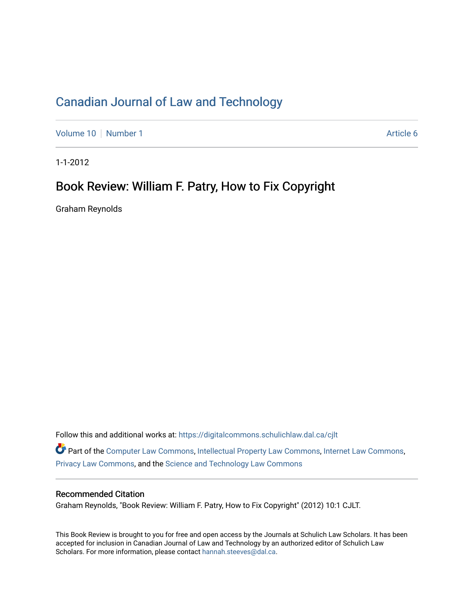# [Canadian Journal of Law and Technology](https://digitalcommons.schulichlaw.dal.ca/cjlt)

[Volume 10](https://digitalcommons.schulichlaw.dal.ca/cjlt/vol10) [Number 1](https://digitalcommons.schulichlaw.dal.ca/cjlt/vol10/iss1) Article 6

1-1-2012

## Book Review: William F. Patry, How to Fix Copyright

Graham Reynolds

Follow this and additional works at: [https://digitalcommons.schulichlaw.dal.ca/cjlt](https://digitalcommons.schulichlaw.dal.ca/cjlt?utm_source=digitalcommons.schulichlaw.dal.ca%2Fcjlt%2Fvol10%2Fiss1%2F6&utm_medium=PDF&utm_campaign=PDFCoverPages)  Part of the [Computer Law Commons,](http://network.bepress.com/hgg/discipline/837?utm_source=digitalcommons.schulichlaw.dal.ca%2Fcjlt%2Fvol10%2Fiss1%2F6&utm_medium=PDF&utm_campaign=PDFCoverPages) [Intellectual Property Law Commons,](http://network.bepress.com/hgg/discipline/896?utm_source=digitalcommons.schulichlaw.dal.ca%2Fcjlt%2Fvol10%2Fiss1%2F6&utm_medium=PDF&utm_campaign=PDFCoverPages) [Internet Law Commons,](http://network.bepress.com/hgg/discipline/892?utm_source=digitalcommons.schulichlaw.dal.ca%2Fcjlt%2Fvol10%2Fiss1%2F6&utm_medium=PDF&utm_campaign=PDFCoverPages) [Privacy Law Commons,](http://network.bepress.com/hgg/discipline/1234?utm_source=digitalcommons.schulichlaw.dal.ca%2Fcjlt%2Fvol10%2Fiss1%2F6&utm_medium=PDF&utm_campaign=PDFCoverPages) and the [Science and Technology Law Commons](http://network.bepress.com/hgg/discipline/875?utm_source=digitalcommons.schulichlaw.dal.ca%2Fcjlt%2Fvol10%2Fiss1%2F6&utm_medium=PDF&utm_campaign=PDFCoverPages) 

#### Recommended Citation

Graham Reynolds, "Book Review: William F. Patry, How to Fix Copyright" (2012) 10:1 CJLT.

This Book Review is brought to you for free and open access by the Journals at Schulich Law Scholars. It has been accepted for inclusion in Canadian Journal of Law and Technology by an authorized editor of Schulich Law Scholars. For more information, please contact [hannah.steeves@dal.ca](mailto:hannah.steeves@dal.ca).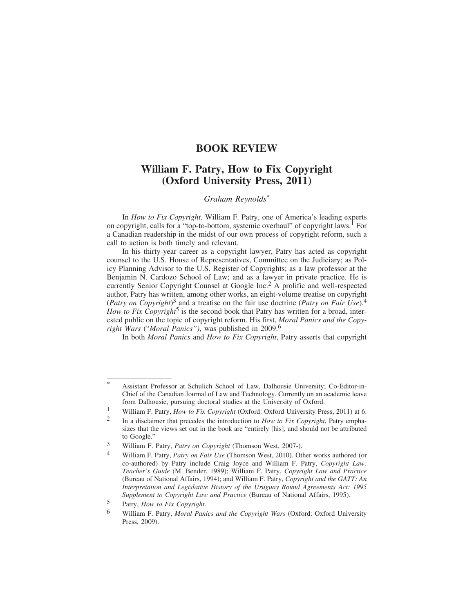#### **BOOK REVIEW**

### **William F. Patry, How to Fix Copyright (Oxford University Press, 2011)**

#### *Graham Reynolds*\*

In *How to Fix Copyright*, William F. Patry, one of America's leading experts on copyright, calls for a "top-to-bottom, systemic overhaul" of copyright laws.<sup>1</sup> For a Canadian readership in the midst of our own process of copyright reform, such a call to action is both timely and relevant.

In his thirty-year career as a copyright lawyer, Patry has acted as copyright counsel to the U.S. House of Representatives, Committee on the Judiciary; as Policy Planning Advisor to the U.S. Register of Copyrights; as a law professor at the Benjamin N. Cardozo School of Law; and as a lawyer in private practice. He is currently Senior Copyright Counsel at Google Inc.2 A prolific and well-respected author, Patry has written, among other works, an eight-volume treatise on copyright (*Patry on Copyright*)3 and a treatise on the fair use doctrine (*Patry on Fair Use*).<sup>4</sup> *How to Fix Copyright*<sup>5</sup> is the second book that Patry has written for a broad, interested public on the topic of copyright reform. His first, *Moral Panics and the Copyright Wars* ("*Moral Panics")*, was published in 2009.6

In both *Moral Panics* and *How to Fix Copyright*, Patry asserts that copyright

Assistant Professor at Schulich School of Law, Dalhousie University; Co-Editor-in-Chief of the Canadian Journal of Law and Technology. Currently on an academic leave from Dalhousie, pursuing doctoral studies at the University of Oxford.

<sup>1</sup> William F. Patry, *How to Fix Copyright* (Oxford: Oxford University Press, 2011) at 6.

<sup>2</sup> In a disclaimer that precedes the introduction to *How to Fix Copyright*, Patry emphasizes that the views set out in the book are "entirely [his], and should not be attributed to Google."

<sup>3</sup> William F. Patry, *Patry on Copyright* (Thomson West, 2007-).

<sup>4</sup> William F. Patry, *Patry on Fair Use* (Thomson West, 2010). Other works authored (or co-authored) by Patry include Craig Joyce and William F. Patry, *Copyright Law: Teacher's Guide* (M. Bender, 1989); William F. Patry, *Copyright Law and Practice* (Bureau of National Affairs, 1994); and William F. Patry, *Copyright and the GATT: An Interpretation and Legislative History of the Uruguay Round Agreements Act: 1995 Supplement to Copyright Law and Practice* (Bureau of National Affairs, 1995).

<sup>5</sup> Patry, *How to Fix Copyright*.

<sup>6</sup> William F. Patry, *Moral Panics and the Copyright Wars* (Oxford: Oxford University Press, 2009).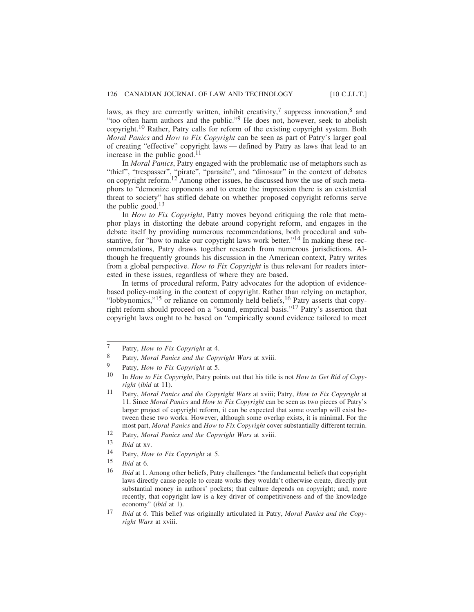laws, as they are currently written, inhibit creativity,<sup>7</sup> suppress innovation,<sup>8</sup> and "too often harm authors and the public."9 He does not, however, seek to abolish copyright.10 Rather, Patry calls for reform of the existing copyright system. Both *Moral Panics* and *How to Fix Copyright* can be seen as part of Patry's larger goal of creating "effective" copyright laws — defined by Patry as laws that lead to an increase in the public good. $11$ 

In *Moral Panics*, Patry engaged with the problematic use of metaphors such as "thief", "trespasser", "pirate", "parasite", and "dinosaur" in the context of debates on copyright reform.12 Among other issues, he discussed how the use of such metaphors to "demonize opponents and to create the impression there is an existential threat to society" has stifled debate on whether proposed copyright reforms serve the public good. $13$ 

In *How to Fix Copyright*, Patry moves beyond critiquing the role that metaphor plays in distorting the debate around copyright reform, and engages in the debate itself by providing numerous recommendations, both procedural and substantive, for "how to make our copyright laws work better."<sup>14</sup> In making these recommendations, Patry draws together research from numerous jurisdictions. Although he frequently grounds his discussion in the American context, Patry writes from a global perspective. *How to Fix Copyright* is thus relevant for readers interested in these issues, regardless of where they are based.

In terms of procedural reform, Patry advocates for the adoption of evidencebased policy-making in the context of copyright. Rather than relying on metaphor, "lobbynomics,"<sup>15</sup> or reliance on commonly held beliefs,<sup>16</sup> Patry asserts that copyright reform should proceed on a "sound, empirical basis."17 Patry's assertion that copyright laws ought to be based on "empirically sound evidence tailored to meet

- 8 Patry, *Moral Panics and the Copyright Wars* at xviii.
- 9 Patry, *How to Fix Copyright* at 5.

12 Patry, *Moral Panics and the Copyright Wars* at xviii.

- 14 Patry, *How to Fix Copyright* at 5.
- 15 *Ibid* at 6.

<sup>7</sup> Patry, *How to Fix Copyright* at 4.

<sup>10</sup> In *How to Fix Copyright*, Patry points out that his title is not *How to Get Rid of Copyright* (*ibid* at 11).

<sup>11</sup> Patry, *Moral Panics and the Copyright Wars* at xviii; Patry, *How to Fix Copyright* at 11. Since *Moral Panics* and *How to Fix Copyright* can be seen as two pieces of Patry's larger project of copyright reform, it can be expected that some overlap will exist between these two works. However, although some overlap exists, it is minimal. For the most part, *Moral Panics* and *How to Fix Copyright* cover substantially different terrain.

<sup>13</sup> *Ibid* at xv.

<sup>16</sup> *Ibid* at 1. Among other beliefs, Patry challenges "the fundamental beliefs that copyright laws directly cause people to create works they wouldn't otherwise create, directly put substantial money in authors' pockets; that culture depends on copyright; and, more recently, that copyright law is a key driver of competitiveness and of the knowledge economy" (*ibid* at 1).

<sup>17</sup> *Ibid* at *6.* This belief was originally articulated in Patry, *Moral Panics and the Copyright Wars* at xviii.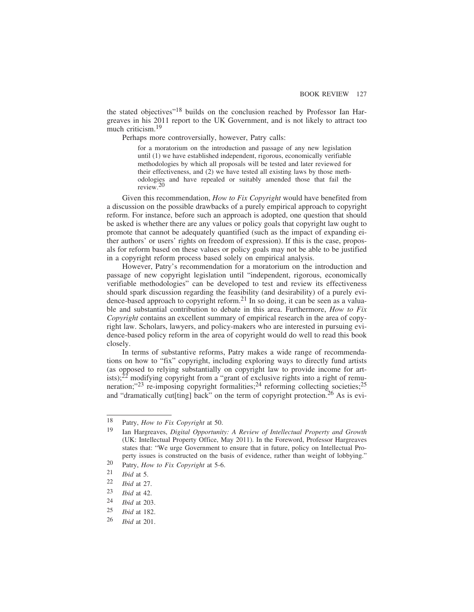the stated objectives"18 builds on the conclusion reached by Professor Ian Hargreaves in his 2011 report to the UK Government, and is not likely to attract too much criticism.<sup>19</sup>

Perhaps more controversially, however, Patry calls:

for a moratorium on the introduction and passage of any new legislation until (1) we have established independent, rigorous, economically verifiable methodologies by which all proposals will be tested and later reviewed for their effectiveness, and (2) we have tested all existing laws by those methodologies and have repealed or suitably amended those that fail the review.20

Given this recommendation, *How to Fix Copyright* would have benefited from a discussion on the possible drawbacks of a purely empirical approach to copyright reform. For instance, before such an approach is adopted, one question that should be asked is whether there are any values or policy goals that copyright law ought to promote that cannot be adequately quantified (such as the impact of expanding either authors' or users' rights on freedom of expression). If this is the case, proposals for reform based on these values or policy goals may not be able to be justified in a copyright reform process based solely on empirical analysis.

However, Patry's recommendation for a moratorium on the introduction and passage of new copyright legislation until "independent, rigorous, economically verifiable methodologies" can be developed to test and review its effectiveness should spark discussion regarding the feasibility (and desirability) of a purely evidence-based approach to copyright reform.<sup>21</sup> In so doing, it can be seen as a valuable and substantial contribution to debate in this area. Furthermore, *How to Fix Copyright* contains an excellent summary of empirical research in the area of copyright law. Scholars, lawyers, and policy-makers who are interested in pursuing evidence-based policy reform in the area of copyright would do well to read this book closely.

In terms of substantive reforms, Patry makes a wide range of recommendations on how to "fix" copyright, including exploring ways to directly fund artists (as opposed to relying substantially on copyright law to provide income for artists); $^{22}$  modifying copyright from a "grant of exclusive rights into a right of remuneration;"<sup>23</sup> re-imposing copyright formalities;<sup>24</sup> reforming collecting societies;<sup>25</sup> and "dramatically cut<sup>[ting]</sup> back" on the term of copyright protection.<sup>26</sup> As is evi-

<sup>18</sup> Patry, *How to Fix Copyright* at 50.

<sup>19</sup> Ian Hargreaves, *Digital Opportunity: A Review of Intellectual Property and Growth* (UK: Intellectual Property Office, May 2011). In the Foreword, Professor Hargreaves states that: "We urge Government to ensure that in future, policy on Intellectual Property issues is constructed on the basis of evidence, rather than weight of lobbying."

<sup>20</sup> Patry, *How to Fix Copyright* at 5-6.

 $\frac{21}{22}$  *Ibid* at 5.

*Ibid* at 27.

 $\frac{23}{24}$  *Ibid* at 42.

<sup>24</sup> *Ibid* at 203.

*Ibid* at 182.

<sup>26</sup> *Ibid* at 201.